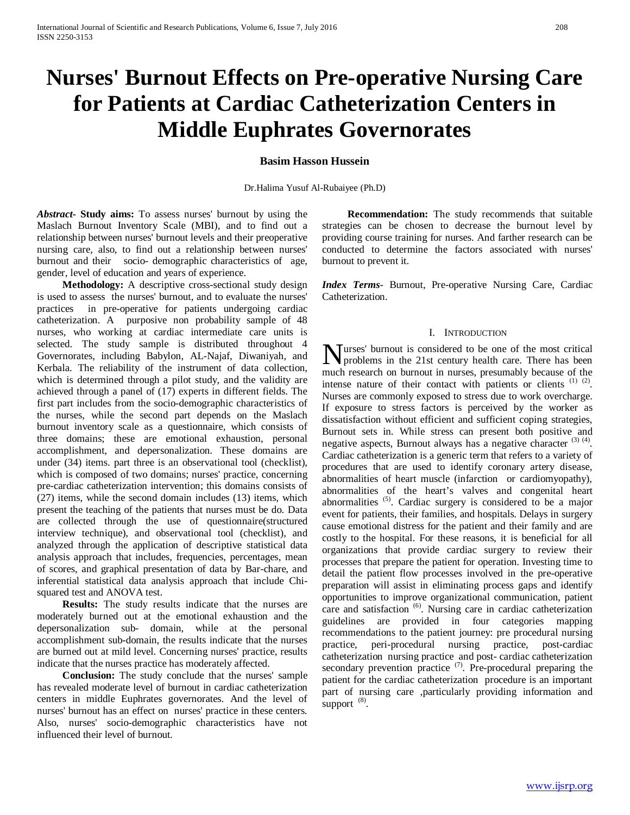# **Nurses' Burnout Effects on Pre-operative Nursing Care for Patients at Cardiac Catheterization Centers in Middle Euphrates Governorates**

# **Basim Hasson Hussein**

Dr.Halima Yusuf Al-Rubaiyee (Ph.D)

*Abstract***- Study aims:** To assess nurses' burnout by using the Maslach Burnout Inventory Scale (MBI), and to find out a relationship between nurses' burnout levels and their preoperative nursing care, also, to find out a relationship between nurses' burnout and their socio- demographic characteristics of age, gender, level of education and years of experience.

 **Methodology:** A descriptive cross-sectional study design is used to assess the nurses' burnout, and to evaluate the nurses' practices in pre-operative for patients undergoing cardiac catheterization. A purposive non probability sample of 48 nurses, who working at cardiac intermediate care units is selected. The study sample is distributed throughout 4 Governorates, including Babylon, AL-Najaf, Diwaniyah, and Kerbala. The reliability of the instrument of data collection, which is determined through a pilot study, and the validity are achieved through a panel of (17) experts in different fields. The first part includes from the socio-demographic characteristics of the nurses, while the second part depends on the Maslach burnout inventory scale as a questionnaire, which consists of three domains; these are emotional exhaustion, personal accomplishment, and depersonalization. These domains are under (34) items. part three is an observational tool (checklist), which is composed of two domains; nurses' practice, concerning pre-cardiac catheterization intervention; this domains consists of (27) items, while the second domain includes (13) items, which present the teaching of the patients that nurses must be do. Data are collected through the use of questionnaire(structured interview technique), and observational tool (checklist), and analyzed through the application of descriptive statistical data analysis approach that includes, frequencies, percentages, mean of scores, and graphical presentation of data by Bar-chare, and inferential statistical data analysis approach that include Chisquared test and ANOVA test.

 **Results:** The study results indicate that the nurses are moderately burned out at the emotional exhaustion and the depersonalization sub- domain, while at the personal accomplishment sub-domain, the results indicate that the nurses are burned out at mild level. Concerning nurses' practice, results indicate that the nurses practice has moderately affected.

 **Conclusion:** The study conclude that the nurses' sample has revealed moderate level of burnout in cardiac catheterization centers in middle Euphrates governorates. And the level of nurses' burnout has an effect on nurses' practice in these centers. Also, nurses' socio-demographic characteristics have not influenced their level of burnout.

 **Recommendation:** The study recommends that suitable strategies can be chosen to decrease the burnout level by providing course training for nurses. And farther research can be conducted to determine the factors associated with nurses' burnout to prevent it.

*Index Terms*- Burnout, Pre-operative Nursing Care, Cardiac Catheterization.

#### I. INTRODUCTION

urses' burnout is considered to be one of the most critical **N** urses' burnout is considered to be one of the most critical problems in the 21st century health care. There has been  $\frac{1}{2}$  which are a maximum with a number of the second of the second of the second of the second much research on burnout in nurses, presumably because of the intense nature of their contact with patients or clients  $(1)$   $(2)$ . Nurses are commonly exposed to stress due to work overcharge. If exposure to stress factors is perceived by the worker as dissatisfaction without efficient and sufficient coping strategies, Burnout sets in. While stress can present both positive and negative aspects, Burnout always has a negative character  $(3)$   $(4)$ . Cardiac catheterization is a generic term that refers to a variety of procedures that are used to identify coronary artery disease, abnormalities of heart muscle (infarction or cardiomyopathy), abnormalities of the heart's valves and congenital heart abnormalities (5). Cardiac surgery is considered to be a major event for patients, their families, and hospitals. Delays in surgery cause emotional distress for the patient and their family and are costly to the hospital. For these reasons, it is beneficial for all organizations that provide cardiac surgery to review their processes that prepare the patient for operation. Investing time to detail the patient flow processes involved in the pre-operative preparation will assist in eliminating process gaps and identify opportunities to improve organizational communication, patient care and satisfaction <sup>(6)</sup>. Nursing care in cardiac catheterization guidelines are provided in four categories mapping recommendations to the patient journey: pre procedural nursing practice, peri-procedural nursing practice, post-cardiac catheterization nursing practice and post- cardiac catheterization secondary prevention practice  $(7)$ . Pre-procedural preparing the patient for the cardiac catheterization procedure is an important part of nursing care ,particularly providing information and support  $(8)$ .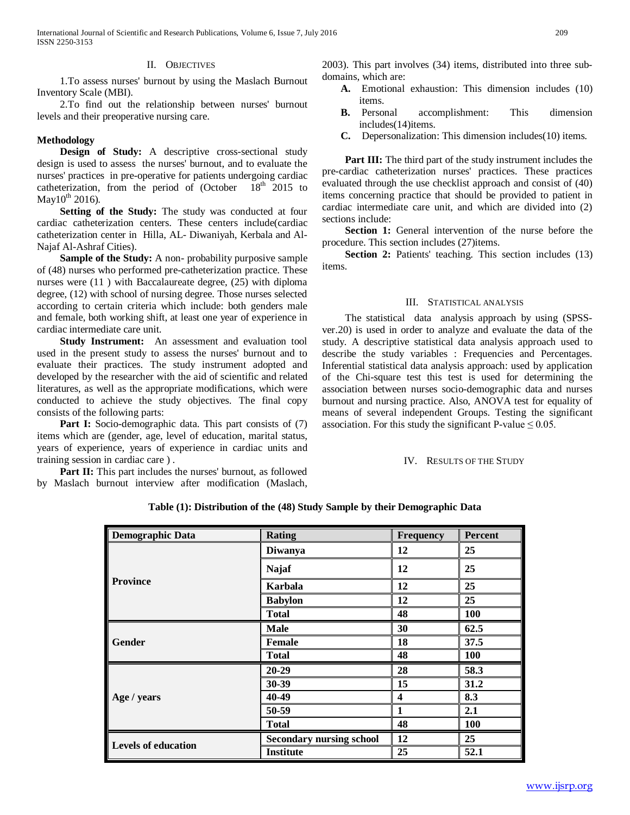#### II. OBJECTIVES

 1.To assess nurses' burnout by using the Maslach Burnout Inventory Scale (MBI).

 2.To find out the relationship between nurses' burnout levels and their preoperative nursing care.

## **Methodology**

 **Design of Study:** A descriptive cross-sectional study design is used to assess the nurses' burnout, and to evaluate the nurses' practices in pre-operative for patients undergoing cardiac catheterization, from the period of (October 18<sup>th</sup> 2015 to May10*<sup>P</sup>* th*<sup>P</sup>* 2016).

 **Setting of the Study:** The study was conducted at four cardiac catheterization centers. These centers include(cardiac catheterization center in Hilla, AL- Diwaniyah, Kerbala and Al-Najaf Al-Ashraf Cities).

 **Sample of the Study:** A non- probability purposive sample of (48) nurses who performed pre-catheterization practice. These nurses were (11 ) with Baccalaureate degree, (25) with diploma degree, (12) with school of nursing degree. Those nurses selected according to certain criteria which include: both genders male and female, both working shift, at least one year of experience in cardiac intermediate care unit.

 **Study Instrument:** An assessment and evaluation tool used in the present study to assess the nurses' burnout and to evaluate their practices. The study instrument adopted and developed by the researcher with the aid of scientific and related literatures, as well as the appropriate modifications, which were conducted to achieve the study objectives. The final copy consists of the following parts:

Part I: Socio-demographic data. This part consists of (7) items which are (gender, age, level of education, marital status, years of experience, years of experience in cardiac units and training session in cardiac care ) .

**Part II:** This part includes the nurses' burnout, as followed by Maslach burnout interview after modification (Maslach,

2003). This part involves (34) items, distributed into three subdomains, which are:

- **A.** Emotional exhaustion: This dimension includes (10) items.
- **B.** Personal accomplishment: This dimension includes(14)items.
- **C.** Depersonalization: This dimension includes(10) items.

**Part III:** The third part of the study instrument includes the pre-cardiac catheterization nurses' practices. These practices evaluated through the use checklist approach and consist of (40) items concerning practice that should be provided to patient in cardiac intermediate care unit, and which are divided into (2) sections include:

**Section 1:** General intervention of the nurse before the procedure. This section includes (27)items.

 **Section 2:** Patients' teaching. This section includes (13) items.

### III. STATISTICAL ANALYSIS

 The statistical data analysis approach by using (SPSSver.20) is used in order to analyze and evaluate the data of the study. A descriptive statistical data analysis approach used to describe the study variables : Frequencies and Percentages. Inferential statistical data analysis approach: used by application of the Chi-square test this test is used for determining the association between nurses socio-demographic data and nurses burnout and nursing practice. Also, ANOVA test for equality of means of several independent Groups. Testing the significant association. For this study the significant P-value  $\leq 0.05$ .

IV. RESULTS OF THE STUDY

| <b>Demographic Data</b> | <b>Rating</b>                   | Frequency | <b>Percent</b> |
|-------------------------|---------------------------------|-----------|----------------|
|                         | <b>Diwanya</b>                  | 12        | 25             |
|                         | <b>Najaf</b>                    | 12        | 25             |
| <b>Province</b>         | Karbala                         | 12        | 25             |
|                         | <b>Babylon</b>                  | 12        | 25             |
|                         | <b>Total</b>                    | 48        | 100            |
| Gender                  | <b>Male</b>                     | 30        | 62.5           |
|                         | <b>Female</b>                   | 18        | 37.5           |
|                         | <b>Total</b>                    | 48        | 100            |
|                         | $20 - 29$                       | 28        | 58.3           |
|                         | 30-39                           | 15        | 31.2           |
| Age / years             | 40-49                           | 4         | 8.3            |
|                         | 50-59                           | 1         | 2.1            |
|                         | <b>Total</b>                    | 48        | 100            |
|                         | <b>Secondary nursing school</b> | 12        | 25             |
| Levels of education     | <b>Institute</b>                | 25        | 52.1           |

**Table (1): Distribution of the (48) Study Sample by their Demographic Data**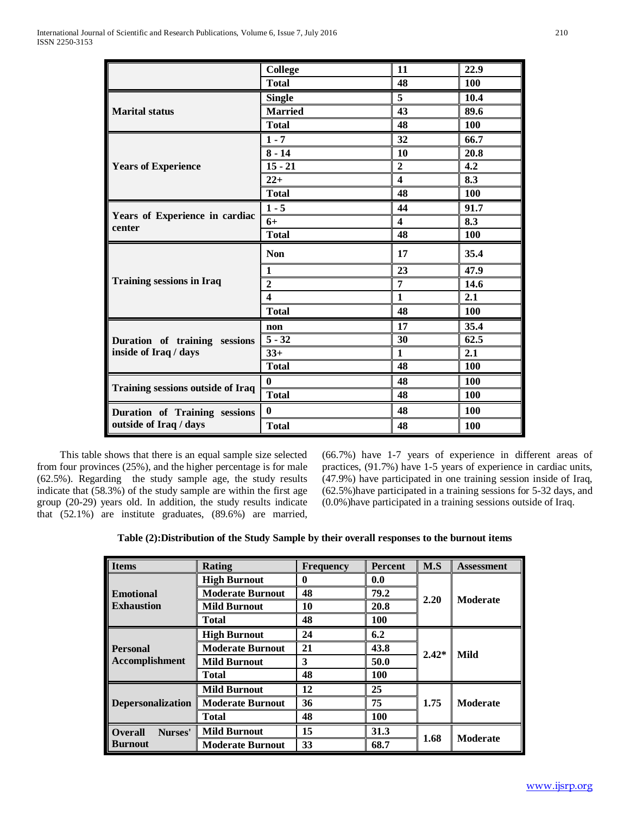|                                                        | College          | 11                      | 22.9       |
|--------------------------------------------------------|------------------|-------------------------|------------|
|                                                        | <b>Total</b>     | 48                      | 100        |
|                                                        | <b>Single</b>    | 5                       | 10.4       |
| <b>Marital status</b>                                  | <b>Married</b>   | 43                      | 89.6       |
|                                                        | <b>Total</b>     | 48                      | 100        |
|                                                        | $1 - 7$          | 32                      | 66.7       |
|                                                        | $8 - 14$         | 10                      | 20.8       |
| <b>Years of Experience</b>                             | $15 - 21$        | $\overline{2}$          | 4.2        |
|                                                        | $22+$            | $\overline{\mathbf{4}}$ | 8.3        |
|                                                        | <b>Total</b>     | 48                      | 100        |
| Years of Experience in cardiac<br>center               | $1 - 5$          | 44                      | 91.7       |
|                                                        | $6+$             | $\overline{\mathbf{4}}$ | 8.3        |
|                                                        | <b>Total</b>     | 48                      | 100        |
|                                                        | <b>Non</b>       | 17                      | 35.4       |
|                                                        | $\mathbf{1}$     | 23                      | 47.9       |
|                                                        | $\overline{2}$   | 7                       | 14.6       |
|                                                        | $\boldsymbol{4}$ | $\mathbf{1}$            | 2.1        |
| <b>Training sessions in Iraq</b>                       | <b>Total</b>     | 48                      | <b>100</b> |
|                                                        | non              | 17                      | 35.4       |
| Duration of training sessions<br>inside of Iraq / days | $5 - 32$         | 30                      | 62.5       |
|                                                        | $33+$            | $\mathbf{1}$            | 2.1        |
|                                                        | <b>Total</b>     | 48                      | 100        |
|                                                        | $\bf{0}$         | 48                      | <b>100</b> |
| Training sessions outside of Iraq                      | <b>Total</b>     | 48                      | 100        |
| Duration of Training sessions                          | $\bf{0}$         | 48                      | 100        |
| outside of Iraq / days                                 | <b>Total</b>     | 48                      | 100        |

 This table shows that there is an equal sample size selected from four provinces (25%), and the higher percentage is for male (62.5%). Regarding the study sample age, the study results indicate that (58.3%) of the study sample are within the first age group (20-29) years old. In addition, the study results indicate that (52.1%) are institute graduates, (89.6%) are married, (66.7%) have 1-7 years of experience in different areas of practices, (91.7%) have 1-5 years of experience in cardiac units, (47.9%) have participated in one training session inside of Iraq, (62.5%)have participated in a training sessions for 5-32 days, and (0.0%)have participated in a training sessions outside of Iraq.

| <b>Items</b>                             | Rating                  | <b>Frequency</b> | Percent | M.S     | <b>Assessment</b> |
|------------------------------------------|-------------------------|------------------|---------|---------|-------------------|
|                                          | <b>High Burnout</b>     | 0                | 0.0     |         |                   |
| <b>Emotional</b>                         | <b>Moderate Burnout</b> | 48               | 79.2    |         | <b>Moderate</b>   |
| <b>Exhaustion</b>                        | <b>Mild Burnout</b>     | 10               | 20.8    | 2.20    |                   |
|                                          | <b>Total</b>            | 48               | 100     |         |                   |
| <b>Personal</b><br><b>Accomplishment</b> | <b>High Burnout</b>     | 24               | 6.2     |         | Mild              |
|                                          | <b>Moderate Burnout</b> | 21               | 43.8    | $2.42*$ |                   |
|                                          | <b>Mild Burnout</b>     | 3                | 50.0    |         |                   |
|                                          | <b>Total</b>            | 48               | 100     |         |                   |
| <b>Depersonalization</b>                 | <b>Mild Burnout</b>     | 12               | 25      |         | <b>Moderate</b>   |
|                                          | <b>Moderate Burnout</b> | 36               | 75      | 1.75    |                   |
|                                          | <b>Total</b>            | 48               | 100     |         |                   |
| <b>Overall</b><br>Nurses'                | <b>Mild Burnout</b>     | 15               | 31.3    |         |                   |
| <b>Burnout</b>                           | <b>Moderate Burnout</b> | 33               | 68.7    | 1.68    | <b>Moderate</b>   |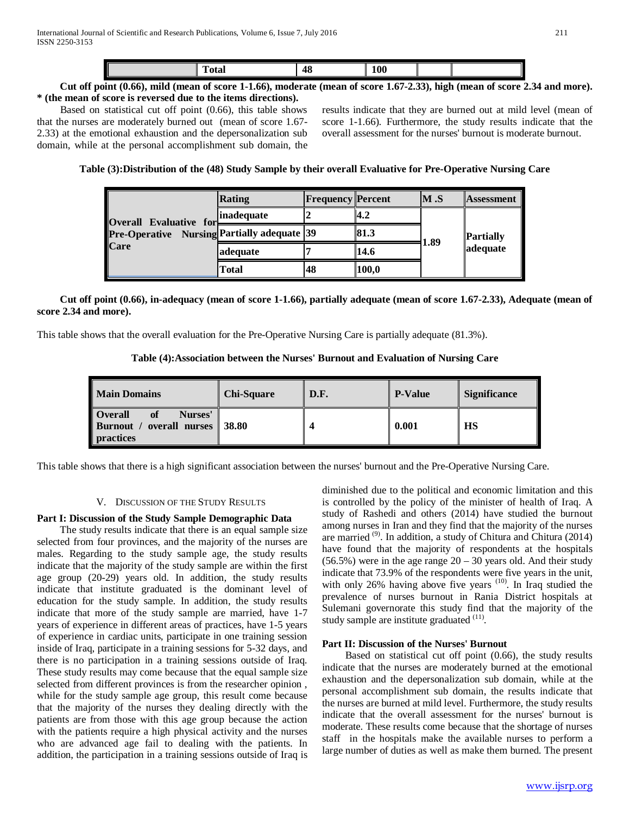| 48<br>Total<br>. . |
|--------------------|
|--------------------|

## **Cut off point (0.66), mild (mean of score 1-1.66), moderate (mean of score 1.67-2.33), high (mean of score 2.34 and more). \* (the mean of score is reversed due to the items directions).**

Based on statistical cut off point (0.66), this table shows that the nurses are moderately burned out (mean of score 1.67- 2.33) at the emotional exhaustion and the depersonalization sub domain, while at the personal accomplishment sub domain, the results indicate that they are burned out at mild level (mean of score 1-1.66). Furthermore, the study results indicate that the overall assessment for the nurses' burnout is moderate burnout.

# **Table (3):Distribution of the (48) Study Sample by their overall Evaluative for Pre-Operative Nursing Care**

| Overall Evaluative for<br><b>Pre-Operative</b> Nursing Partially adequate 39<br><b>Care</b> | Rating      | <b>Frequency Percent</b> |       | M.S  | <b>Assessment</b>            |
|---------------------------------------------------------------------------------------------|-------------|--------------------------|-------|------|------------------------------|
|                                                                                             | ∥inadequate |                          | 14.2  | 1.89 | <b>Partially</b><br>adequate |
|                                                                                             |             |                          | 81.3  |      |                              |
|                                                                                             | adequate    |                          | 14.6  |      |                              |
|                                                                                             | Total       | 48                       | 100,0 |      |                              |

# **Cut off point (0.66), in-adequacy (mean of score 1-1.66), partially adequate (mean of score 1.67-2.33), Adequate (mean of score 2.34 and more).**

This table shows that the overall evaluation for the Pre-Operative Nursing Care is partially adequate (81.3%).

## **Table (4):Association between the Nurses' Burnout and Evaluation of Nursing Care**

| <b>Main Domains</b>                                                          | <b>Chi-Square</b> | D.F. | <b>P-Value</b> | <b>Significance</b> |
|------------------------------------------------------------------------------|-------------------|------|----------------|---------------------|
| <b>Overall</b><br>Nurses'<br>overall nurses<br>Burnout /<br><b>practices</b> | 38.80             |      | 0.001          | <b>HS</b>           |

This table shows that there is a high significant association between the nurses' burnout and the Pre-Operative Nursing Care.

## V. DISCUSSION OF THE STUDY RESULTS

## **Part I: Discussion of the Study Sample Demographic Data**

The study results indicate that there is an equal sample size selected from four provinces, and the majority of the nurses are males. Regarding to the study sample age, the study results indicate that the majority of the study sample are within the first age group (20-29) years old. In addition, the study results indicate that institute graduated is the dominant level of education for the study sample. In addition, the study results indicate that more of the study sample are married, have 1-7 years of experience in different areas of practices, have 1-5 years of experience in cardiac units, participate in one training session inside of Iraq, participate in a training sessions for 5-32 days, and there is no participation in a training sessions outside of Iraq. These study results may come because that the equal sample size selected from different provinces is from the researcher opinion , while for the study sample age group, this result come because that the majority of the nurses they dealing directly with the patients are from those with this age group because the action with the patients require a high physical activity and the nurses who are advanced age fail to dealing with the patients. In addition, the participation in a training sessions outside of Iraq is

diminished due to the political and economic limitation and this is controlled by the policy of the minister of health of Iraq. A study of Rashedi and others (2014) have studied the burnout among nurses in Iran and they find that the majority of the nurses are married<sup>(9)</sup>. In addition, a study of Chitura and Chitura (2014) have found that the majority of respondents at the hospitals  $(56.5%)$  were in the age range  $20 - 30$  years old. And their study indicate that 73.9% of the respondents were five years in the unit, with only 26% having above five years <sup>(10)</sup>. In Iraq studied the prevalence of nurses burnout in Rania District hospitals at Sulemani governorate this study find that the majority of the study sample are institute graduated <sup>(11)</sup>.

## **Part II: Discussion of the Nurses' Burnout**

Based on statistical cut off point (0.66), the study results indicate that the nurses are moderately burned at the emotional exhaustion and the depersonalization sub domain, while at the personal accomplishment sub domain, the results indicate that the nurses are burned at mild level. Furthermore, the study results indicate that the overall assessment for the nurses' burnout is moderate. These results come because that the shortage of nurses staff in the hospitals make the available nurses to perform a large number of duties as well as make them burned. The present